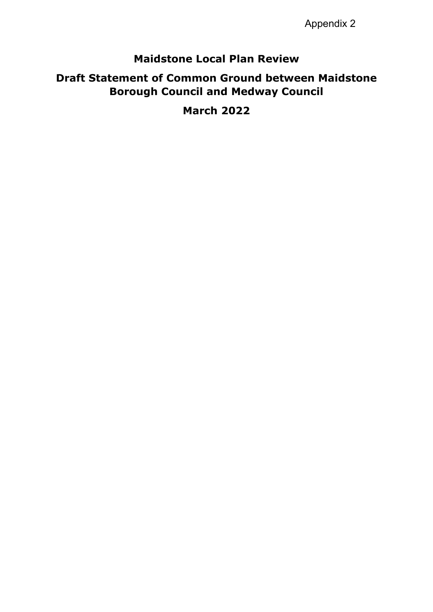Appendix 2

# **Maidstone Local Plan Review**

# **Draft Statement of Common Ground between Maidstone Borough Council and Medway Council**

**March 2022**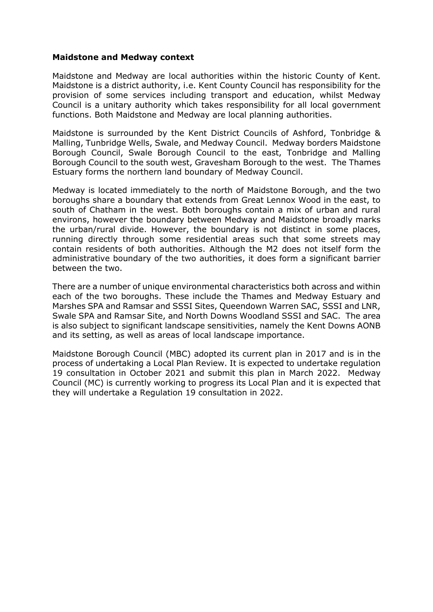#### **Maidstone and Medway context**

Maidstone and Medway are local authorities within the historic County of Kent. Maidstone is a district authority, i.e. Kent County Council has responsibility for the provision of some services including transport and education, whilst Medway Council is a unitary authority which takes responsibility for all local government functions. Both Maidstone and Medway are local planning authorities.

Maidstone is surrounded by the Kent District Councils of Ashford, Tonbridge & Malling, Tunbridge Wells, Swale, and Medway Council. Medway borders Maidstone Borough Council, Swale Borough Council to the east, Tonbridge and Malling Borough Council to the south west, Gravesham Borough to the west. The Thames Estuary forms the northern land boundary of Medway Council.

Medway is located immediately to the north of Maidstone Borough, and the two boroughs share a boundary that extends from Great Lennox Wood in the east, to south of Chatham in the west. Both boroughs contain a mix of urban and rural environs, however the boundary between Medway and Maidstone broadly marks the urban/rural divide. However, the boundary is not distinct in some places, running directly through some residential areas such that some streets may contain residents of both authorities. Although the M2 does not itself form the administrative boundary of the two authorities, it does form a significant barrier between the two.

There are a number of unique environmental characteristics both across and within each of the two boroughs. These include the Thames and Medway Estuary and Marshes SPA and Ramsar and SSSI Sites, Queendown Warren SAC, SSSI and LNR, Swale SPA and Ramsar Site, and North Downs Woodland SSSI and SAC. The area is also subject to significant landscape sensitivities, namely the Kent Downs AONB and its setting, as well as areas of local landscape importance.

Maidstone Borough Council (MBC) adopted its current plan in 2017 and is in the process of undertaking a Local Plan Review. It is expected to undertake regulation 19 consultation in October 2021 and submit this plan in March 2022. Medway Council (MC) is currently working to progress its Local Plan and it is expected that they will undertake a Regulation 19 consultation in 2022.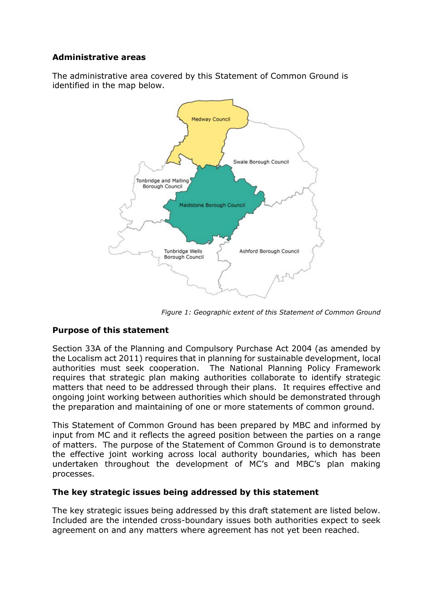## **Administrative areas**

The administrative area covered by this Statement of Common Ground is identified in the map below.



*Figure 1: Geographic extent of this Statement of Common Ground*

## **Purpose of this statement**

Section 33A of the Planning and Compulsory Purchase Act 2004 (as amended by the Localism act 2011) requires that in planning for sustainable development, local authorities must seek cooperation. The National Planning Policy Framework requires that strategic plan making authorities collaborate to identify strategic matters that need to be addressed through their plans. It requires effective and ongoing joint working between authorities which should be demonstrated through the preparation and maintaining of one or more statements of common ground.

This Statement of Common Ground has been prepared by MBC and informed by input from MC and it reflects the agreed position between the parties on a range of matters. The purpose of the Statement of Common Ground is to demonstrate the effective joint working across local authority boundaries, which has been undertaken throughout the development of MC's and MBC's plan making processes.

## **The key strategic issues being addressed by this statement**

The key strategic issues being addressed by this draft statement are listed below. Included are the intended cross-boundary issues both authorities expect to seek agreement on and any matters where agreement has not yet been reached.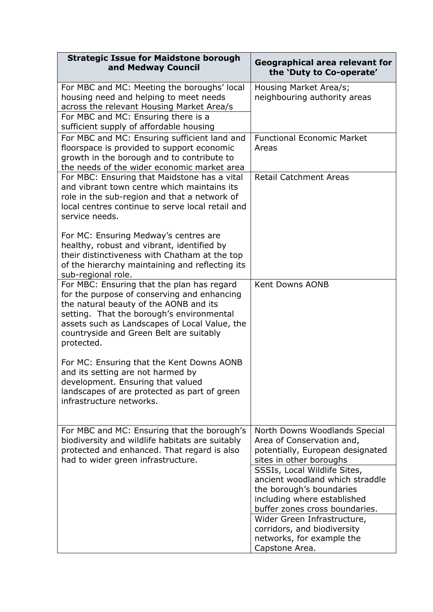| <b>Strategic Issue for Maidstone borough</b><br>and Medway Council                                                                                                                                                                                                                         | Geographical area relevant for<br>the 'Duty to Co-operate'                                                                                                   |
|--------------------------------------------------------------------------------------------------------------------------------------------------------------------------------------------------------------------------------------------------------------------------------------------|--------------------------------------------------------------------------------------------------------------------------------------------------------------|
| For MBC and MC: Meeting the boroughs' local<br>housing need and helping to meet needs<br>across the relevant Housing Market Area/s<br>For MBC and MC: Ensuring there is a<br>sufficient supply of affordable housing                                                                       | Housing Market Area/s;<br>neighbouring authority areas                                                                                                       |
| For MBC and MC: Ensuring sufficient land and<br>floorspace is provided to support economic<br>growth in the borough and to contribute to<br>the needs of the wider economic market area                                                                                                    | <b>Functional Economic Market</b><br>Areas                                                                                                                   |
| For MBC: Ensuring that Maidstone has a vital<br>and vibrant town centre which maintains its<br>role in the sub-region and that a network of<br>local centres continue to serve local retail and<br>service needs.                                                                          | <b>Retail Catchment Areas</b>                                                                                                                                |
| For MC: Ensuring Medway's centres are<br>healthy, robust and vibrant, identified by<br>their distinctiveness with Chatham at the top<br>of the hierarchy maintaining and reflecting its<br>sub-regional role.                                                                              |                                                                                                                                                              |
| For MBC: Ensuring that the plan has regard<br>for the purpose of conserving and enhancing<br>the natural beauty of the AONB and its<br>setting. That the borough's environmental<br>assets such as Landscapes of Local Value, the<br>countryside and Green Belt are suitably<br>protected. | <b>Kent Downs AONB</b>                                                                                                                                       |
| For MC: Ensuring that the Kent Downs AONB<br>and its setting are not harmed by<br>development. Ensuring that valued<br>landscapes of are protected as part of green<br>infrastructure networks.                                                                                            |                                                                                                                                                              |
| For MBC and MC: Ensuring that the borough's<br>biodiversity and wildlife habitats are suitably<br>protected and enhanced. That regard is also<br>had to wider green infrastructure.                                                                                                        | North Downs Woodlands Special<br>Area of Conservation and,<br>potentially, European designated<br>sites in other boroughs                                    |
|                                                                                                                                                                                                                                                                                            | SSSIs, Local Wildlife Sites,<br>ancient woodland which straddle<br>the borough's boundaries<br>including where established<br>buffer zones cross boundaries. |
|                                                                                                                                                                                                                                                                                            | Wider Green Infrastructure,<br>corridors, and biodiversity<br>networks, for example the<br>Capstone Area.                                                    |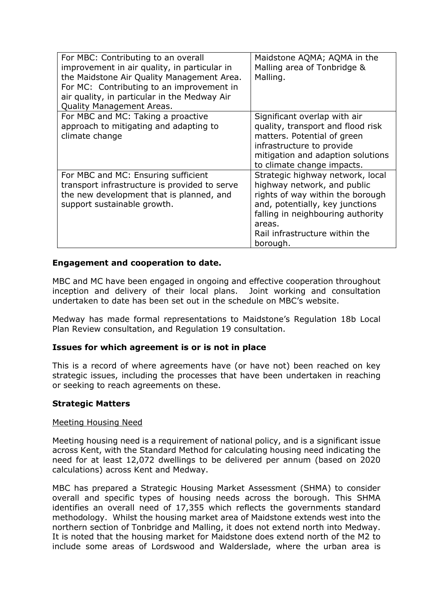| For MBC: Contributing to an overall<br>improvement in air quality, in particular in<br>the Maidstone Air Quality Management Area.<br>For MC: Contributing to an improvement in<br>air quality, in particular in the Medway Air<br><b>Quality Management Areas.</b> | Maidstone AQMA; AQMA in the<br>Malling area of Tonbridge &<br>Malling.                                                                                                                                                              |
|--------------------------------------------------------------------------------------------------------------------------------------------------------------------------------------------------------------------------------------------------------------------|-------------------------------------------------------------------------------------------------------------------------------------------------------------------------------------------------------------------------------------|
| For MBC and MC: Taking a proactive<br>approach to mitigating and adapting to<br>climate change                                                                                                                                                                     | Significant overlap with air<br>quality, transport and flood risk<br>matters. Potential of green<br>infrastructure to provide<br>mitigation and adaption solutions<br>to climate change impacts.                                    |
| For MBC and MC: Ensuring sufficient<br>transport infrastructure is provided to serve<br>the new development that is planned, and<br>support sustainable growth.                                                                                                    | Strategic highway network, local<br>highway network, and public<br>rights of way within the borough<br>and, potentially, key junctions<br>falling in neighbouring authority<br>areas.<br>Rail infrastructure within the<br>borough. |

## **Engagement and cooperation to date.**

MBC and MC have been engaged in ongoing and effective cooperation throughout inception and delivery of their local plans. Joint working and consultation undertaken to date has been set out in the schedule on MBC's website.

Medway has made formal representations to Maidstone's Regulation 18b Local Plan Review consultation, and Regulation 19 consultation.

#### **Issues for which agreement is or is not in place**

This is a record of where agreements have (or have not) been reached on key strategic issues, including the processes that have been undertaken in reaching or seeking to reach agreements on these.

#### **Strategic Matters**

#### Meeting Housing Need

Meeting housing need is a requirement of national policy, and is a significant issue across Kent, with the Standard Method for calculating housing need indicating the need for at least 12,072 dwellings to be delivered per annum (based on 2020 calculations) across Kent and Medway.

MBC has prepared a Strategic Housing Market Assessment (SHMA) to consider overall and specific types of housing needs across the borough. This SHMA identifies an overall need of 17,355 which reflects the governments standard methodology. Whilst the housing market area of Maidstone extends west into the northern section of Tonbridge and Malling, it does not extend north into Medway. It is noted that the housing market for Maidstone does extend north of the M2 to include some areas of Lordswood and Walderslade, where the urban area is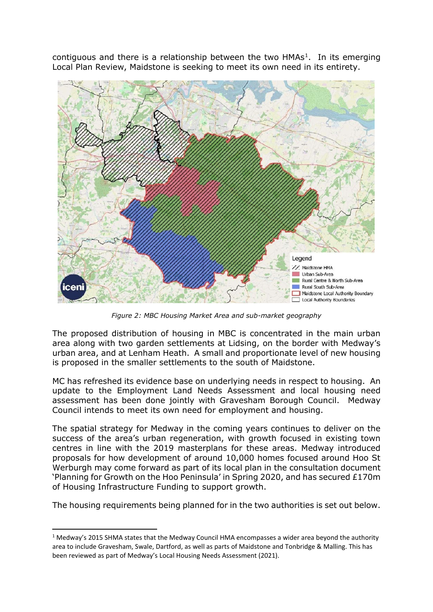contiguous and there is a relationship between the two  $HMAs<sup>1</sup>$ . In its emerging Local Plan Review, Maidstone is seeking to meet its own need in its entirety.



*Figure 2: MBC Housing Market Area and sub-market geography*

The proposed distribution of housing in MBC is concentrated in the main urban area along with two garden settlements at Lidsing, on the border with Medway's urban area, and at Lenham Heath. A small and proportionate level of new housing is proposed in the smaller settlements to the south of Maidstone.

MC has refreshed its evidence base on underlying needs in respect to housing. An update to the Employment Land Needs Assessment and local housing need assessment has been done jointly with Gravesham Borough Council. Medway Council intends to meet its own need for employment and housing.

The spatial strategy for Medway in the coming years continues to deliver on the success of the area's urban regeneration, with growth focused in existing town centres in line with the 2019 masterplans for these areas. Medway introduced proposals for how development of around 10,000 homes focused around Hoo St Werburgh may come forward as part of its local plan in the consultation document 'Planning for Growth on the Hoo Peninsula' in Spring 2020, and has secured £170m of Housing Infrastructure Funding to support growth.

The housing requirements being planned for in the two authorities is set out below.

<span id="page-5-0"></span> $1$  Medway's 2015 SHMA states that the Medway Council HMA encompasses a wider area beyond the authority area to include Gravesham, Swale, Dartford, as well as parts of Maidstone and Tonbridge & Malling. This has been reviewed as part of Medway's Local Housing Needs Assessment (2021).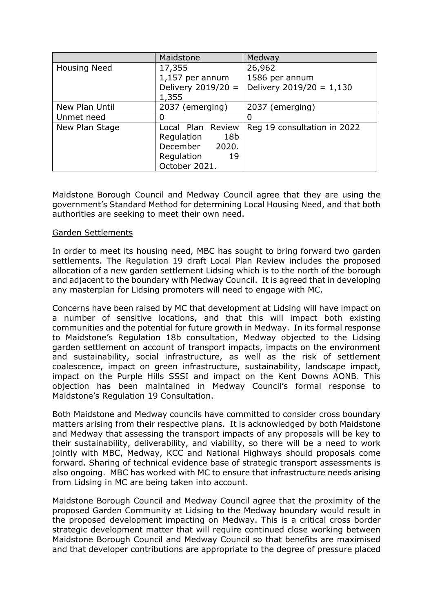|                     | Maidstone                     | Medway                      |
|---------------------|-------------------------------|-----------------------------|
| <b>Housing Need</b> | 17,355                        | 26,962                      |
|                     | 1,157 per annum               | 1586 per annum              |
|                     | Delivery $2019/20 =$          | Delivery $2019/20 = 1,130$  |
|                     | 1,355                         |                             |
| New Plan Until      | 2037 (emerging)               | 2037 (emerging)             |
| Unmet need          | O                             |                             |
| New Plan Stage      | Local Plan Review             | Reg 19 consultation in 2022 |
|                     | 18 <sub>b</sub><br>Regulation |                             |
|                     | December 2020.                |                             |
|                     | Regulation<br>19              |                             |
|                     | October 2021.                 |                             |

Maidstone Borough Council and Medway Council agree that they are using the government's Standard Method for determining Local Housing Need, and that both authorities are seeking to meet their own need.

#### Garden Settlements

In order to meet its housing need, MBC has sought to bring forward two garden settlements. The Regulation 19 draft Local Plan Review includes the proposed allocation of a new garden settlement Lidsing which is to the north of the borough and adjacent to the boundary with Medway Council. It is agreed that in developing any masterplan for Lidsing promoters will need to engage with MC.

Concerns have been raised by MC that development at Lidsing will have impact on a number of sensitive locations, and that this will impact both existing communities and the potential for future growth in Medway. In its formal response to Maidstone's Regulation 18b consultation, Medway objected to the Lidsing garden settlement on account of transport impacts, impacts on the environment and sustainability, social infrastructure, as well as the risk of settlement coalescence, impact on green infrastructure, sustainability, landscape impact, impact on the Purple Hills SSSI and impact on the Kent Downs AONB. This objection has been maintained in Medway Council's formal response to Maidstone's Regulation 19 Consultation.

Both Maidstone and Medway councils have committed to consider cross boundary matters arising from their respective plans. It is acknowledged by both Maidstone and Medway that assessing the transport impacts of any proposals will be key to their sustainability, deliverability, and viability, so there will be a need to work jointly with MBC, Medway, KCC and National Highways should proposals come forward. Sharing of technical evidence base of strategic transport assessments is also ongoing. MBC has worked with MC to ensure that infrastructure needs arising from Lidsing in MC are being taken into account.

Maidstone Borough Council and Medway Council agree that the proximity of the proposed Garden Community at Lidsing to the Medway boundary would result in the proposed development impacting on Medway. This is a critical cross border strategic development matter that will require continued close working between Maidstone Borough Council and Medway Council so that benefits are maximised and that developer contributions are appropriate to the degree of pressure placed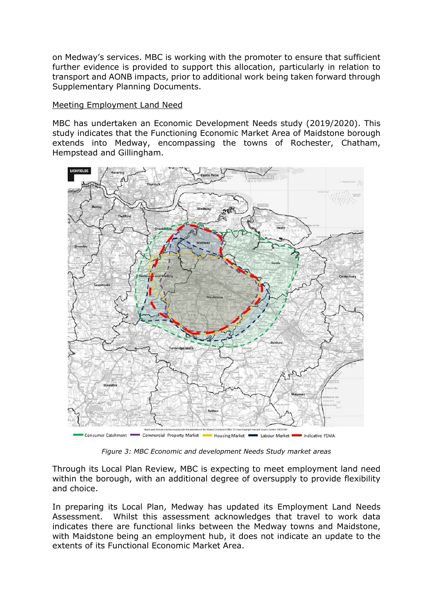on Medway's services. MBC is working with the promoter to ensure that sufficient further evidence is provided to support this allocation, particularly in relation to transport and AONB impacts, prior to additional work being taken forward through Supplementary Planning Documents.

## Meeting Employment Land Need

MBC has undertaken an Economic Development Needs study (2019/2020). This study indicates that the Functioning Economic Market Area of Maidstone borough extends into Medway, encompassing the towns of Rochester, Chatham, Hempstead and Gillingham.



*Figure 3: MBC Economic and development Needs Study market areas*

Through its Local Plan Review, MBC is expecting to meet employment land need within the borough, with an additional degree of oversupply to provide flexibility and choice.

In preparing its Local Plan, Medway has updated its Employment Land Needs Assessment. Whilst this assessment acknowledges that travel to work data indicates there are functional links between the Medway towns and Maidstone, with Maidstone being an employment hub, it does not indicate an update to the extents of its Functional Economic Market Area.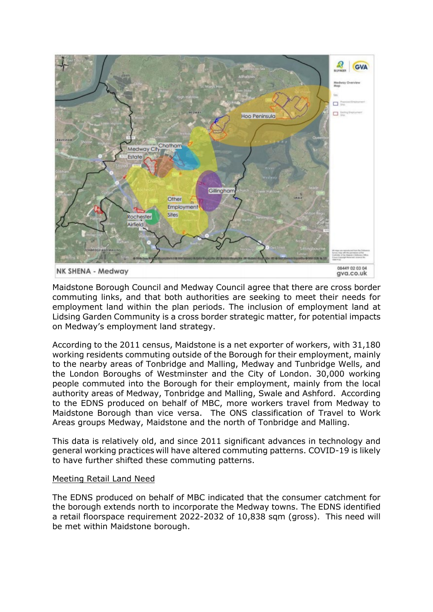

Maidstone Borough Council and Medway Council agree that there are cross border commuting links, and that both authorities are seeking to meet their needs for employment land within the plan periods. The inclusion of employment land at Lidsing Garden Community is a cross border strategic matter, for potential impacts on Medway's employment land strategy.

According to the 2011 census, Maidstone is a net exporter of workers, with 31,180 working residents commuting outside of the Borough for their employment, mainly to the nearby areas of Tonbridge and Malling, Medway and Tunbridge Wells, and the London Boroughs of Westminster and the City of London. 30,000 working people commuted into the Borough for their employment, mainly from the local authority areas of Medway, Tonbridge and Malling, Swale and Ashford. According to the EDNS produced on behalf of MBC, more workers travel from Medway to Maidstone Borough than vice versa. The ONS classification of Travel to Work Areas groups Medway, Maidstone and the north of Tonbridge and Malling.

This data is relatively old, and since 2011 significant advances in technology and general working practices will have altered commuting patterns. COVID-19 is likely to have further shifted these commuting patterns.

#### Meeting Retail Land Need

The EDNS produced on behalf of MBC indicated that the consumer catchment for the borough extends north to incorporate the Medway towns. The EDNS identified a retail floorspace requirement 2022-2032 of 10,838 sqm (gross). This need will be met within Maidstone borough.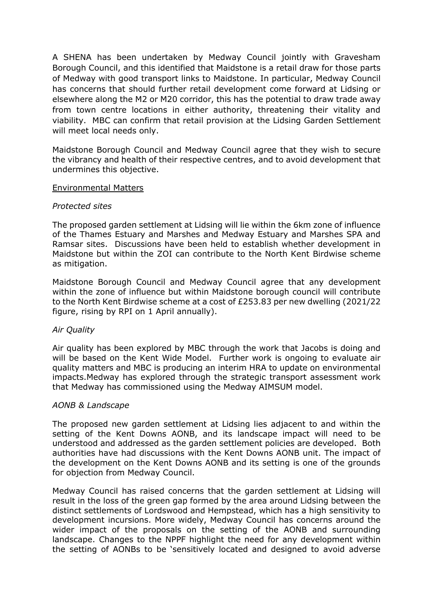A SHENA has been undertaken by Medway Council jointly with Gravesham Borough Council, and this identified that Maidstone is a retail draw for those parts of Medway with good transport links to Maidstone. In particular, Medway Council has concerns that should further retail development come forward at Lidsing or elsewhere along the M2 or M20 corridor, this has the potential to draw trade away from town centre locations in either authority, threatening their vitality and viability. MBC can confirm that retail provision at the Lidsing Garden Settlement will meet local needs only.

Maidstone Borough Council and Medway Council agree that they wish to secure the vibrancy and health of their respective centres, and to avoid development that undermines this objective.

#### Environmental Matters

## *Protected sites*

The proposed garden settlement at Lidsing will lie within the 6km zone of influence of the Thames Estuary and Marshes and Medway Estuary and Marshes SPA and Ramsar sites. Discussions have been held to establish whether development in Maidstone but within the ZOI can contribute to the North Kent Birdwise scheme as mitigation.

Maidstone Borough Council and Medway Council agree that any development within the zone of influence but within Maidstone borough council will contribute to the North Kent Birdwise scheme at a cost of £253.83 per new dwelling (2021/22 figure, rising by RPI on 1 April annually).

#### *Air Quality*

Air quality has been explored by MBC through the work that Jacobs is doing and will be based on the Kent Wide Model. Further work is ongoing to evaluate air quality matters and MBC is producing an interim HRA to update on environmental impacts.Medway has explored through the strategic transport assessment work that Medway has commissioned using the Medway AIMSUM model.

#### *AONB & Landscape*

The proposed new garden settlement at Lidsing lies adjacent to and within the setting of the Kent Downs AONB, and its landscape impact will need to be understood and addressed as the garden settlement policies are developed. Both authorities have had discussions with the Kent Downs AONB unit. The impact of the development on the Kent Downs AONB and its setting is one of the grounds for objection from Medway Council.

Medway Council has raised concerns that the garden settlement at Lidsing will result in the loss of the green gap formed by the area around Lidsing between the distinct settlements of Lordswood and Hempstead, which has a high sensitivity to development incursions. More widely, Medway Council has concerns around the wider impact of the proposals on the setting of the AONB and surrounding landscape. Changes to the NPPF highlight the need for any development within the setting of AONBs to be 'sensitively located and designed to avoid adverse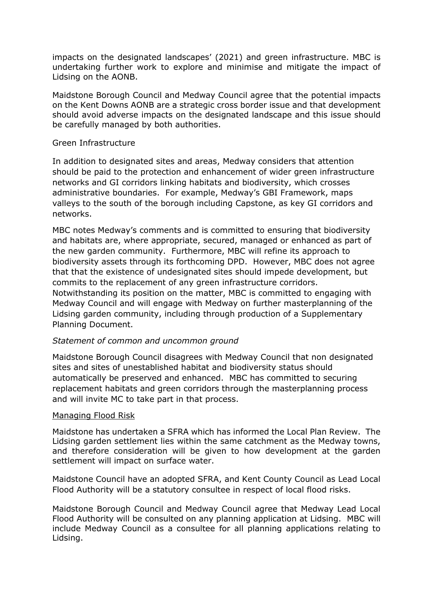impacts on the designated landscapes' (2021) and green infrastructure. MBC is undertaking further work to explore and minimise and mitigate the impact of Lidsing on the AONB.

Maidstone Borough Council and Medway Council agree that the potential impacts on the Kent Downs AONB are a strategic cross border issue and that development should avoid adverse impacts on the designated landscape and this issue should be carefully managed by both authorities.

## Green Infrastructure

In addition to designated sites and areas, Medway considers that attention should be paid to the protection and enhancement of wider green infrastructure networks and GI corridors linking habitats and biodiversity, which crosses administrative boundaries. For example, Medway's GBI Framework, maps valleys to the south of the borough including Capstone, as key GI corridors and networks.

MBC notes Medway's comments and is committed to ensuring that biodiversity and habitats are, where appropriate, secured, managed or enhanced as part of the new garden community. Furthermore, MBC will refine its approach to biodiversity assets through its forthcoming DPD. However, MBC does not agree that that the existence of undesignated sites should impede development, but commits to the replacement of any green infrastructure corridors.

Notwithstanding its position on the matter, MBC is committed to engaging with Medway Council and will engage with Medway on further masterplanning of the Lidsing garden community, including through production of a Supplementary Planning Document.

## *Statement of common and uncommon ground*

Maidstone Borough Council disagrees with Medway Council that non designated sites and sites of unestablished habitat and biodiversity status should automatically be preserved and enhanced. MBC has committed to securing replacement habitats and green corridors through the masterplanning process and will invite MC to take part in that process.

#### Managing Flood Risk

Maidstone has undertaken a SFRA which has informed the Local Plan Review. The Lidsing garden settlement lies within the same catchment as the Medway towns, and therefore consideration will be given to how development at the garden settlement will impact on surface water.

Maidstone Council have an adopted SFRA, and Kent County Council as Lead Local Flood Authority will be a statutory consultee in respect of local flood risks.

Maidstone Borough Council and Medway Council agree that Medway Lead Local Flood Authority will be consulted on any planning application at Lidsing. MBC will include Medway Council as a consultee for all planning applications relating to Lidsing.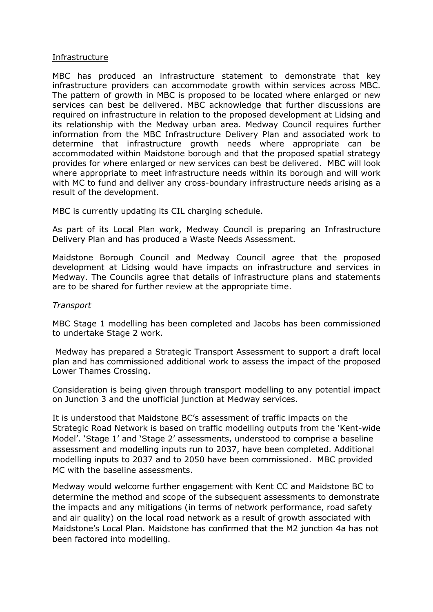#### Infrastructure

MBC has produced an infrastructure statement to demonstrate that key infrastructure providers can accommodate growth within services across MBC. The pattern of growth in MBC is proposed to be located where enlarged or new services can best be delivered. MBC acknowledge that further discussions are required on infrastructure in relation to the proposed development at Lidsing and its relationship with the Medway urban area. Medway Council requires further information from the MBC Infrastructure Delivery Plan and associated work to determine that infrastructure growth needs where appropriate can be accommodated within Maidstone borough and that the proposed spatial strategy provides for where enlarged or new services can best be delivered. MBC will look where appropriate to meet infrastructure needs within its borough and will work with MC to fund and deliver any cross-boundary infrastructure needs arising as a result of the development.

MBC is currently updating its CIL charging schedule.

As part of its Local Plan work, Medway Council is preparing an Infrastructure Delivery Plan and has produced a Waste Needs Assessment.

Maidstone Borough Council and Medway Council agree that the proposed development at Lidsing would have impacts on infrastructure and services in Medway. The Councils agree that details of infrastructure plans and statements are to be shared for further review at the appropriate time.

#### *Transport*

MBC Stage 1 modelling has been completed and Jacobs has been commissioned to undertake Stage 2 work.

Medway has prepared a Strategic Transport Assessment to support a draft local plan and has commissioned additional work to assess the impact of the proposed Lower Thames Crossing.

Consideration is being given through transport modelling to any potential impact on Junction 3 and the unofficial junction at Medway services.

It is understood that Maidstone BC's assessment of traffic impacts on the Strategic Road Network is based on traffic modelling outputs from the 'Kent-wide Model'. 'Stage 1' and 'Stage 2' assessments, understood to comprise a baseline assessment and modelling inputs run to 2037, have been completed. Additional modelling inputs to 2037 and to 2050 have been commissioned. MBC provided MC with the baseline assessments.

Medway would welcome further engagement with Kent CC and Maidstone BC to determine the method and scope of the subsequent assessments to demonstrate the impacts and any mitigations (in terms of network performance, road safety and air quality) on the local road network as a result of growth associated with Maidstone's Local Plan. Maidstone has confirmed that the M2 junction 4a has not been factored into modelling.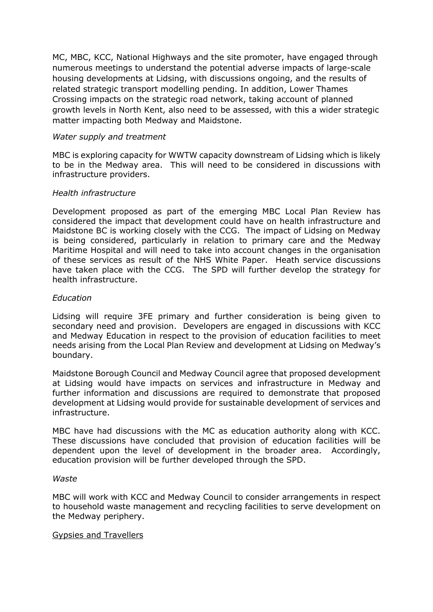MC, MBC, KCC, National Highways and the site promoter, have engaged through numerous meetings to understand the potential adverse impacts of large-scale housing developments at Lidsing, with discussions ongoing, and the results of related strategic transport modelling pending. In addition, Lower Thames Crossing impacts on the strategic road network, taking account of planned growth levels in North Kent, also need to be assessed, with this a wider strategic matter impacting both Medway and Maidstone.

## *Water supply and treatment*

MBC is exploring capacity for WWTW capacity downstream of Lidsing which is likely to be in the Medway area. This will need to be considered in discussions with infrastructure providers.

## *Health infrastructure*

Development proposed as part of the emerging MBC Local Plan Review has considered the impact that development could have on health infrastructure and Maidstone BC is working closely with the CCG. The impact of Lidsing on Medway is being considered, particularly in relation to primary care and the Medway Maritime Hospital and will need to take into account changes in the organisation of these services as result of the NHS White Paper. Heath service discussions have taken place with the CCG. The SPD will further develop the strategy for health infrastructure.

## *Education*

Lidsing will require 3FE primary and further consideration is being given to secondary need and provision. Developers are engaged in discussions with KCC and Medway Education in respect to the provision of education facilities to meet needs arising from the Local Plan Review and development at Lidsing on Medway's boundary.

Maidstone Borough Council and Medway Council agree that proposed development at Lidsing would have impacts on services and infrastructure in Medway and further information and discussions are required to demonstrate that proposed development at Lidsing would provide for sustainable development of services and infrastructure.

MBC have had discussions with the MC as education authority along with KCC. These discussions have concluded that provision of education facilities will be dependent upon the level of development in the broader area. Accordingly, education provision will be further developed through the SPD.

#### *Waste*

MBC will work with KCC and Medway Council to consider arrangements in respect to household waste management and recycling facilities to serve development on the Medway periphery.

#### Gypsies and Travellers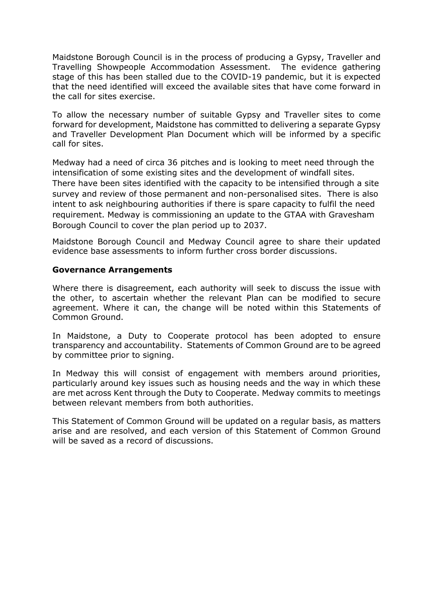Maidstone Borough Council is in the process of producing a Gypsy, Traveller and Travelling Showpeople Accommodation Assessment. The evidence gathering stage of this has been stalled due to the COVID-19 pandemic, but it is expected that the need identified will exceed the available sites that have come forward in the call for sites exercise.

To allow the necessary number of suitable Gypsy and Traveller sites to come forward for development, Maidstone has committed to delivering a separate Gypsy and Traveller Development Plan Document which will be informed by a specific call for sites.

Medway had a need of circa 36 pitches and is looking to meet need through the intensification of some existing sites and the development of windfall sites. There have been sites identified with the capacity to be intensified through a site survey and review of those permanent and non-personalised sites. There is also intent to ask neighbouring authorities if there is spare capacity to fulfil the need requirement. Medway is commissioning an update to the GTAA with Gravesham Borough Council to cover the plan period up to 2037.

Maidstone Borough Council and Medway Council agree to share their updated evidence base assessments to inform further cross border discussions.

## **Governance Arrangements**

Where there is disagreement, each authority will seek to discuss the issue with the other, to ascertain whether the relevant Plan can be modified to secure agreement. Where it can, the change will be noted within this Statements of Common Ground.

In Maidstone, a Duty to Cooperate protocol has been adopted to ensure transparency and accountability. Statements of Common Ground are to be agreed by committee prior to signing.

In Medway this will consist of engagement with members around priorities, particularly around key issues such as housing needs and the way in which these are met across Kent through the Duty to Cooperate. Medway commits to meetings between relevant members from both authorities.

This Statement of Common Ground will be updated on a regular basis, as matters arise and are resolved, and each version of this Statement of Common Ground will be saved as a record of discussions.